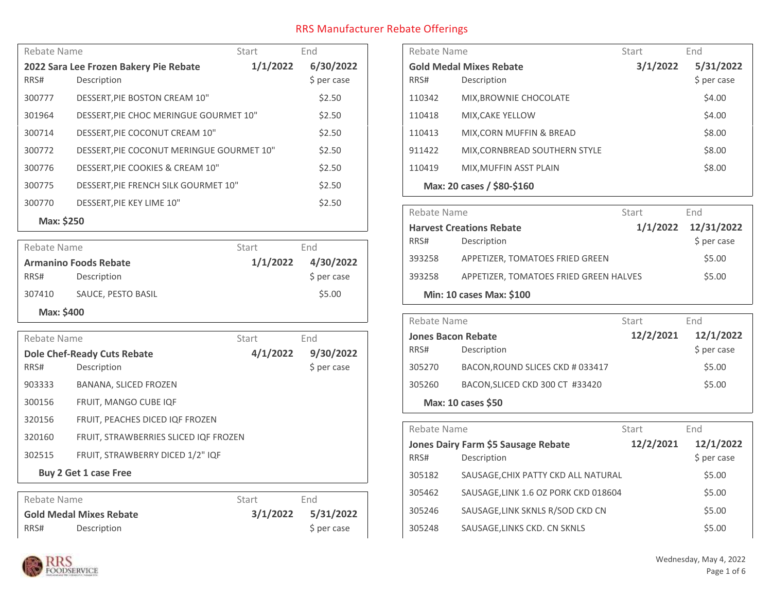| Rebate Name<br>Start                               |                                           | End       |             |
|----------------------------------------------------|-------------------------------------------|-----------|-------------|
| 1/1/2022<br>2022 Sara Lee Frozen Bakery Pie Rebate |                                           | 6/30/2022 |             |
| RRS#                                               | Description                               |           | \$ per case |
| 300777                                             | DESSERT, PIE BOSTON CREAM 10"             |           | \$2.50      |
| 301964                                             | DESSERT, PIE CHOC MERINGUE GOURMET 10"    |           | \$2.50      |
| 300714                                             | DESSERT, PIE COCONUT CREAM 10"            |           | \$2.50      |
| 300772                                             | DESSERT, PIE COCONUT MERINGUE GOURMET 10" |           | \$2.50      |
| 300776                                             | DESSERT, PIE COOKIES & CREAM 10"          |           | \$2.50      |
| 300775                                             | DESSERT, PIE FRENCH SILK GOURMET 10"      |           | \$2.50      |
| 300770                                             | <b>DESSERT.PIE KEY LIME 10"</b>           |           | \$2.50      |
| Max: \$250                                         |                                           |           |             |

| Rebate Name |                              | Start    | End          |
|-------------|------------------------------|----------|--------------|
|             | <b>Armanino Foods Rebate</b> | 1/1/2022 | 4/30/2022    |
| RRS#        | Description                  |          | $$$ per case |
| 307410      | SAUCE, PESTO BASIL           |          | \$5.00       |
| Max: \$400  |                              |          |              |

|                       | Rebate Name |                                       | Start    | End         |
|-----------------------|-------------|---------------------------------------|----------|-------------|
|                       |             | <b>Dole Chef-Ready Cuts Rebate</b>    | 4/1/2022 | 9/30/2022   |
|                       | RRS#        | Description                           |          | \$ per case |
|                       | 903333      | BANANA, SLICED FROZEN                 |          |             |
|                       | 300156      | FRUIT, MANGO CUBE IQF                 |          |             |
|                       | 320156      | FRUIT, PEACHES DICED IQF FROZEN       |          |             |
|                       | 320160      | FRUIT, STRAWBERRIES SLICED IQF FROZEN |          |             |
|                       | 302515      | FRUIT, STRAWBERRY DICED 1/2" IQF      |          |             |
| Buy 2 Get 1 case Free |             |                                       |          |             |
|                       |             |                                       |          |             |

| Rebate Name                    |             | Start    | End         |
|--------------------------------|-------------|----------|-------------|
| <b>Gold Medal Mixes Rebate</b> |             | 3/1/2022 | 5/31/2022   |
| RRS#                           | Description |          | \$ per case |

| Rebate Name                    |                               | Start    | End         |
|--------------------------------|-------------------------------|----------|-------------|
| <b>Gold Medal Mixes Rebate</b> |                               | 3/1/2022 | 5/31/2022   |
| RRS#                           | Description                   |          | \$ per case |
| 110342                         | MIX, BROWNIE CHOCOLATE        |          | \$4.00      |
| 110418                         | MIX, CAKE YELLOW              |          | \$4.00      |
| 110413                         | MIX, CORN MUFFIN & BREAD      |          | \$8.00      |
| 911422                         | MIX, CORNBREAD SOUTHERN STYLE |          | \$8.00      |
| 110419                         | MIX, MUFFIN ASST PLAIN        |          | \$8.00      |
| Max: 20 cases / \$80-\$160     |                               |          |             |

| Rebate Name              |                                        | Start | End                 |
|--------------------------|----------------------------------------|-------|---------------------|
|                          | <b>Harvest Creations Rebate</b>        |       | 1/1/2022 12/31/2022 |
| RRS#                     | Description                            |       | \$ per case         |
| 393258                   | APPETIZER, TOMATOES FRIED GREEN        |       | \$5.00              |
| 393258                   | APPETIZER, TOMATOES FRIED GREEN HALVES |       | \$5.00              |
| Min: 10 cases Max: \$100 |                                        |       |                     |

| Rebate Name               |                                  | Start     | End          |
|---------------------------|----------------------------------|-----------|--------------|
| <b>Jones Bacon Rebate</b> |                                  | 12/2/2021 | 12/1/2022    |
| RRS#                      | Description                      |           | $$$ per case |
| 305270                    | BACON, ROUND SLICES CKD # 033417 |           | \$5.00       |
| 305260                    | BACON, SLICED CKD 300 CT #33420  |           | \$5.00       |
| Max: 10 cases \$50        |                                  |           |              |

| Rebate Name |                                                    | Start     | End                      |
|-------------|----------------------------------------------------|-----------|--------------------------|
| RRS#        | Jones Dairy Farm \$5 Sausage Rebate<br>Description | 12/2/2021 | 12/1/2022<br>\$ per case |
| 305182      | SAUSAGE, CHIX PATTY CKD ALL NATURAL                |           | \$5.00                   |
| 305462      | SAUSAGE, LINK 1.6 OZ PORK CKD 018604               |           | \$5.00                   |
| 305246      | SAUSAGE, LINK SKNLS R/SOD CKD CN                   |           | \$5.00                   |
| 305248      | SAUSAGE, LINKS CKD. CN SKNLS                       |           | \$5.00                   |

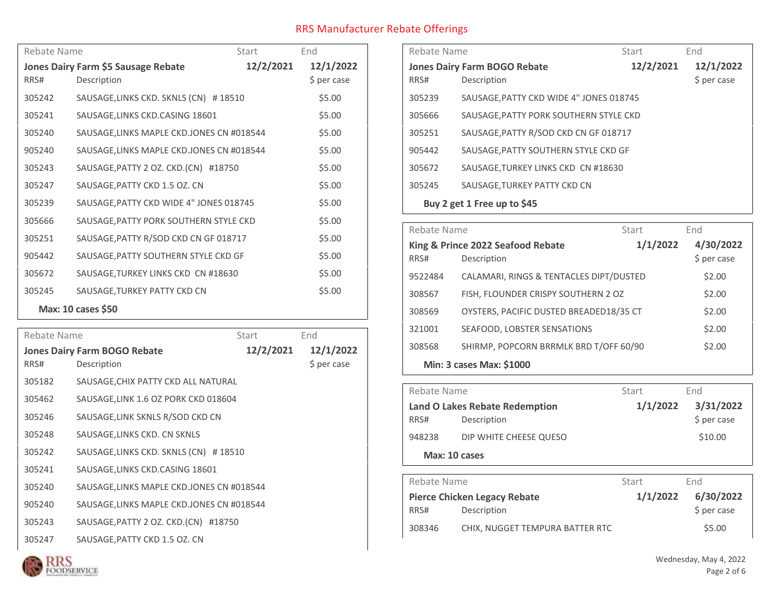| Rebate Name               |                                           | Start     | End         |
|---------------------------|-------------------------------------------|-----------|-------------|
|                           | Jones Dairy Farm \$5 Sausage Rebate       | 12/2/2021 | 12/1/2022   |
| RRS#                      | Description                               |           | \$ per case |
| 305242                    | SAUSAGE, LINKS CKD. SKNLS (CN) #18510     |           | \$5.00      |
| 305241                    | SAUSAGE, LINKS CKD. CASING 18601          |           | \$5.00      |
| 305240                    | SAUSAGE, LINKS MAPLE CKD.JONES CN #018544 |           | \$5.00      |
| 905240                    | SAUSAGE, LINKS MAPLE CKD.JONES CN #018544 |           | \$5.00      |
| 305243                    | SAUSAGE, PATTY 2 OZ. CKD. (CN) #18750     |           | \$5.00      |
| 305247                    | SAUSAGE, PATTY CKD 1.5 OZ. CN             |           | \$5.00      |
| 305239                    | SAUSAGE, PATTY CKD WIDE 4" JONES 018745   |           | \$5.00      |
| 305666                    | SAUSAGE, PATTY PORK SOUTHERN STYLE CKD    |           | \$5.00      |
| 305251                    | SAUSAGE, PATTY R/SOD CKD CN GF 018717     |           | \$5.00      |
| 905442                    | SAUSAGE, PATTY SOUTHERN STYLE CKD GF      |           | \$5.00      |
| 305672                    | SAUSAGE, TURKEY LINKS CKD CN #18630       |           | \$5.00      |
| 305245                    | SAUSAGE, TURKEY PATTY CKD CN              |           | \$5.00      |
| <b>Max: 10 cases \$50</b> |                                           |           |             |

| Rebate Name |                                            | Start     | End         |
|-------------|--------------------------------------------|-----------|-------------|
|             | <b>Jones Dairy Farm BOGO Rebate</b>        | 12/2/2021 | 12/1/2022   |
| RRS#        | Description                                |           | \$ per case |
| 305182      | SAUSAGE, CHIX PATTY CKD ALL NATURAL        |           |             |
| 305462      | SAUSAGE, LINK 1.6 OZ PORK CKD 018604       |           |             |
| 305246      | SAUSAGE, LINK SKNLS R/SOD CKD CN           |           |             |
| 305248      | SAUSAGE, LINKS CKD. CN SKNLS               |           |             |
| 305242      | SAUSAGE, LINKS CKD. SKNLS (CN) #18510      |           |             |
| 305241      | SAUSAGE, LINKS CKD. CASING 18601           |           |             |
| 305240      | SAUSAGE, LINKS MAPLE CKD. JONES CN #018544 |           |             |
| 905240      | SAUSAGE, LINKS MAPLE CKD. JONES CN #018544 |           |             |
| 305243      | SAUSAGE, PATTY 2 OZ. CKD. (CN) #18750      |           |             |
| 305247      | SAUSAGE, PATTY CKD 1.5 OZ. CN              |           |             |

| Rebate Name                 |                                         | Start     | End         |
|-----------------------------|-----------------------------------------|-----------|-------------|
|                             | <b>Jones Dairy Farm BOGO Rebate</b>     | 12/2/2021 | 12/1/2022   |
| RRS#                        | Description                             |           | \$ per case |
| 305239                      | SAUSAGE, PATTY CKD WIDE 4" JONES 018745 |           |             |
| 305666                      | SAUSAGE, PATTY PORK SOUTHERN STYLE CKD  |           |             |
| 305251                      | SAUSAGE, PATTY R/SOD CKD CN GF 018717   |           |             |
| 905442                      | SAUSAGE, PATTY SOUTHERN STYLE CKD GF    |           |             |
| 305672                      | SAUSAGE, TURKEY LINKS CKD CN #18630     |           |             |
| 305245                      | SAUSAGE, TURKEY PATTY CKD CN            |           |             |
| Buy 2 get 1 Free up to \$45 |                                         |           |             |

|                                               | Rebate Name<br>Start                    |           | End         |
|-----------------------------------------------|-----------------------------------------|-----------|-------------|
| 1/1/2022<br>King & Prince 2022 Seafood Rebate |                                         | 4/30/2022 |             |
| RRS#                                          | Description                             |           | \$ per case |
| 9522484                                       | CALAMARI, RINGS & TENTACLES DIPT/DUSTED |           | \$2.00      |
| 308567                                        | FISH, FLOUNDER CRISPY SOUTHERN 2 OZ     |           | \$2.00      |
| 308569                                        | OYSTERS, PACIFIC DUSTED BREADED18/35 CT |           | \$2.00      |
| 321001                                        | SEAFOOD, LOBSTER SENSATIONS             |           | \$2.00      |
| 308568                                        | SHIRMP, POPCORN BRRMLK BRD T/OFF 60/90  |           | \$2.00      |
| <b>Min: 3 cases Max: \$1000</b>               |                                         |           |             |

| Rebate Name   |                                       | Start    | End          |  |
|---------------|---------------------------------------|----------|--------------|--|
|               | <b>Land O Lakes Rebate Redemption</b> | 1/1/2022 | 3/31/2022    |  |
| RRS#          | Description                           |          | $$$ per case |  |
| 948238        | DIP WHITE CHEESE QUESO                |          | \$10.00      |  |
| Max: 10 cases |                                       |          |              |  |

| Rebate Name                         |                                 | Start    | End.         |
|-------------------------------------|---------------------------------|----------|--------------|
| <b>Pierce Chicken Legacy Rebate</b> |                                 | 1/1/2022 | 6/30/2022    |
| RRS#                                | Description                     |          | $$$ per case |
| 308346                              | CHIX. NUGGET TEMPURA BATTER RTC |          | \$5.00       |

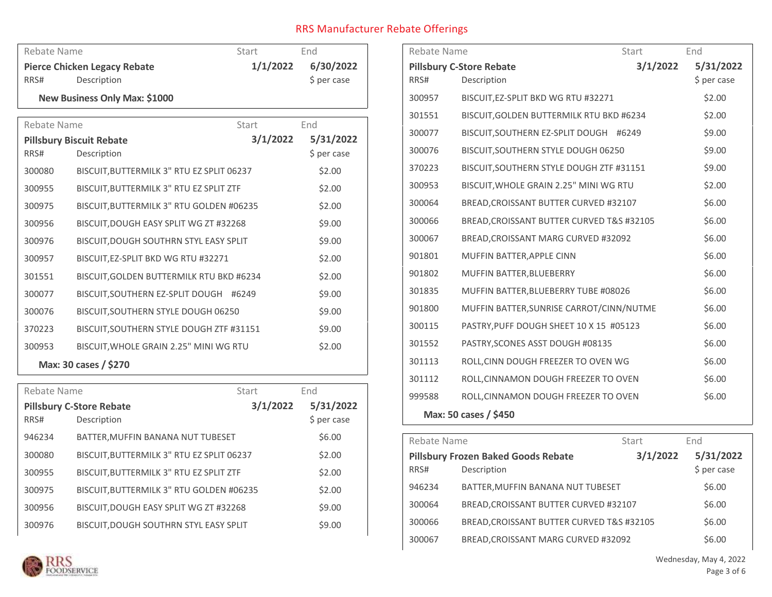| Rebate Name           |                                           | Start    | End.        |
|-----------------------|-------------------------------------------|----------|-------------|
|                       | <b>Pierce Chicken Legacy Rebate</b>       | 1/1/2022 | 6/30/2022   |
| RRS#                  | Description                               |          | \$ per case |
|                       | New Business Only Max: \$1000             |          |             |
| Rebate Name           |                                           | Start    | End         |
|                       | <b>Pillsbury Biscuit Rebate</b>           | 3/1/2022 | 5/31/2022   |
| RRS#                  | Description                               |          | \$ per case |
| 300080                | BISCUIT, BUTTERMILK 3" RTU EZ SPLIT 06237 |          | \$2.00      |
| 300955                | BISCUIT, BUTTERMILK 3" RTU EZ SPLIT ZTF   |          | \$2.00      |
| 300975                | BISCUIT, BUTTERMILK 3" RTU GOLDEN #06235  |          | \$2.00      |
| 300956                | BISCUIT, DOUGH EASY SPLIT WG ZT #32268    |          | \$9.00      |
| 300976                | BISCUIT, DOUGH SOUTHRN STYL EASY SPLIT    |          | \$9.00      |
| 300957                | BISCUIT, EZ-SPLIT BKD WG RTU #32271       |          | \$2.00      |
| 301551                | BISCUIT, GOLDEN BUTTERMILK RTU BKD #6234  |          | \$2.00      |
| 300077                | BISCUIT, SOUTHERN EZ-SPLIT DOUGH #6249    |          | \$9.00      |
| 300076                | BISCUIT, SOUTHERN STYLE DOUGH 06250       |          | \$9.00      |
| 370223                | BISCUIT, SOUTHERN STYLE DOUGH ZTF #31151  |          | \$9.00      |
| 300953                | BISCUIT, WHOLE GRAIN 2.25" MINI WG RTU    |          | \$2.00      |
| Max: 30 cases / \$270 |                                           |          |             |
| - - -                 |                                           |          |             |

| Rebate Name                     |                                           | Start    | End         |
|---------------------------------|-------------------------------------------|----------|-------------|
| <b>Pillsbury C-Store Rebate</b> |                                           | 3/1/2022 | 5/31/2022   |
| RRS#                            | Description                               |          | \$ per case |
| 946234                          | BATTER, MUFFIN BANANA NUT TUBESET         |          | \$6.00      |
| 300080                          | BISCUIT, BUTTERMILK 3" RTU EZ SPLIT 06237 |          | \$2.00      |
| 300955                          | BISCUIT, BUTTERMILK 3" RTU EZ SPLIT ZTF   |          | \$2.00      |
| 300975                          | BISCUIT, BUTTERMILK 3" RTU GOLDEN #06235  |          | \$2.00      |
| 300956                          | BISCUIT, DOUGH EASY SPLIT WG ZT #32268    |          | \$9.00      |
| 300976                          | BISCUIT, DOUGH SOUTHRN STYL EASY SPLIT    |          | \$9.00      |

| Rebate Name |                                           | Start    | End         |
|-------------|-------------------------------------------|----------|-------------|
|             | <b>Pillsbury C-Store Rebate</b>           | 3/1/2022 | 5/31/2022   |
| RRS#        | Description                               |          | \$ per case |
| 300957      | BISCUIT, EZ-SPLIT BKD WG RTU #32271       |          | \$2.00      |
| 301551      | BISCUIT, GOLDEN BUTTERMILK RTU BKD #6234  |          | \$2.00      |
| 300077      | BISCUIT, SOUTHERN EZ-SPLIT DOUGH #6249    |          | \$9.00      |
| 300076      | BISCUIT, SOUTHERN STYLE DOUGH 06250       |          | \$9.00      |
| 370223      | BISCUIT, SOUTHERN STYLE DOUGH ZTF #31151  |          | \$9.00      |
| 300953      | BISCUIT, WHOLE GRAIN 2.25" MINI WG RTU    |          | \$2.00      |
| 300064      | BREAD, CROISSANT BUTTER CURVED #32107     |          | \$6.00      |
| 300066      | BREAD, CROISSANT BUTTER CURVED T&S #32105 |          | \$6.00      |
| 300067      | BREAD, CROISSANT MARG CURVED #32092       |          | \$6.00      |
| 901801      | MUFFIN BATTER, APPLE CINN                 |          | \$6.00      |
| 901802      | MUFFIN BATTER, BLUEBERRY                  |          | \$6.00      |
| 301835      | MUFFIN BATTER, BLUEBERRY TUBE #08026      |          | \$6.00      |
| 901800      | MUFFIN BATTER, SUNRISE CARROT/CINN/NUTME  |          | \$6.00      |
| 300115      | PASTRY, PUFF DOUGH SHEET 10 X 15 #05123   |          | \$6.00      |
| 301552      | PASTRY, SCONES ASST DOUGH #08135          |          | \$6.00      |
| 301113      | ROLL, CINN DOUGH FREEZER TO OVEN WG       |          | \$6.00      |
| 301112      | ROLL, CINNAMON DOUGH FREEZER TO OVEN      |          | \$6.00      |
| 999588      | ROLL, CINNAMON DOUGH FREEZER TO OVEN      |          | \$6.00      |
|             | Max: 50 cases / \$450                     |          |             |

| Rebate Name<br>Start                            |                                                           |          | End                      |
|-------------------------------------------------|-----------------------------------------------------------|----------|--------------------------|
| RRS#                                            | <b>Pillsbury Frozen Baked Goods Rebate</b><br>Description | 3/1/2022 | 5/31/2022<br>\$ per case |
| 946234                                          | BATTER, MUFFIN BANANA NUT TUBESET                         |          | \$6.00                   |
| 300064<br>BREAD, CROISSANT BUTTER CURVED #32107 |                                                           | \$6.00   |                          |
| 300066                                          | BREAD, CROISSANT BUTTER CURVED T&S #32105                 |          | \$6.00                   |
| 300067                                          | BREAD, CROISSANT MARG CURVED #32092                       |          | \$6.00                   |

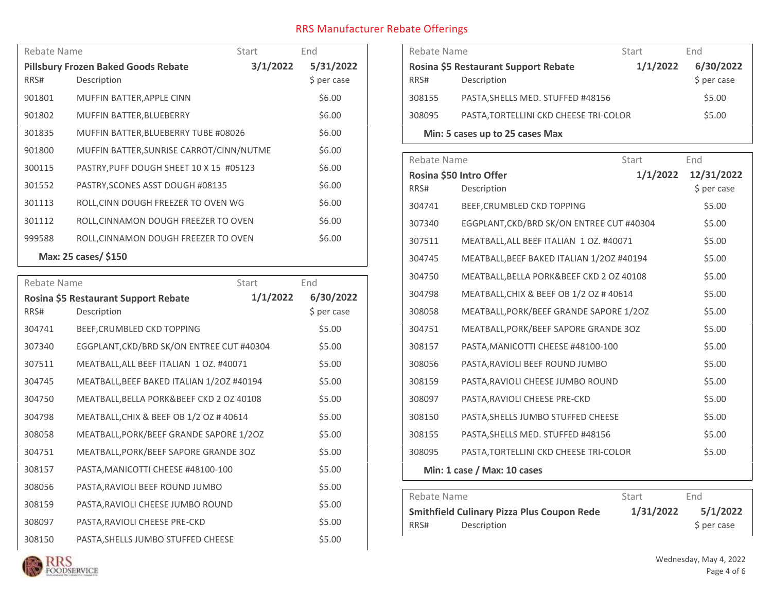| Rebate Name                                |                                          | Start    | End         |
|--------------------------------------------|------------------------------------------|----------|-------------|
| <b>Pillsbury Frozen Baked Goods Rebate</b> |                                          | 3/1/2022 | 5/31/2022   |
| RRS#                                       | Description                              |          | \$ per case |
| 901801                                     | MUFFIN BATTER, APPLE CINN                |          | \$6.00      |
| 901802                                     | <b>MUFFIN BATTER, BLUEBERRY</b>          |          | \$6.00      |
| 301835                                     | MUFFIN BATTER, BLUEBERRY TUBE #08026     |          | \$6.00      |
| 901800                                     | MUFFIN BATTER, SUNRISE CARROT/CINN/NUTME |          | \$6.00      |
| 300115                                     | PASTRY, PUFF DOUGH SHEET 10 X 15 #05123  |          | \$6.00      |
| 301552                                     | PASTRY, SCONES ASST DOUGH #08135         |          | \$6.00      |
| 301113                                     | ROLL, CINN DOUGH FREEZER TO OVEN WG      |          | \$6.00      |
| 301112                                     | ROLL, CINNAMON DOUGH FREEZER TO OVEN     |          | \$6.00      |
| 999588                                     | ROLL, CINNAMON DOUGH FREEZER TO OVEN     |          | \$6.00      |
| Max: 25 cases/ \$150                       |                                          |          |             |

| Rebate Name |                                                     | Start    | End                      |
|-------------|-----------------------------------------------------|----------|--------------------------|
| RRS#        | Rosina \$5 Restaurant Support Rebate<br>Description | 1/1/2022 | 6/30/2022<br>\$ per case |
| 304741      | BEEF, CRUMBLED CKD TOPPING                          |          | \$5.00                   |
| 307340      | EGGPLANT, CKD/BRD SK/ON ENTREE CUT #40304           |          | \$5.00                   |
| 307511      | MEATBALL, ALL BEEF ITALIAN 1 OZ. #40071             |          | \$5.00                   |
| 304745      | MEATBALL, BEEF BAKED ITALIAN 1/20Z #40194           |          | \$5.00                   |
| 304750      | MEATBALL, BELLA PORK&BEEF CKD 2 OZ 40108            |          | \$5.00                   |
| 304798      | MEATBALL, CHIX & BEEF OB 1/2 OZ #40614              |          | \$5.00                   |
| 308058      | MEATBALL, PORK/BEEF GRANDE SAPORE 1/20Z             |          | \$5.00                   |
| 304751      | MEATBALL, PORK/BEEF SAPORE GRANDE 30Z               |          | \$5.00                   |
| 308157      | PASTA, MANICOTTI CHEESE #48100-100                  |          | \$5.00                   |
| 308056      | PASTA, RAVIOLI BEEF ROUND JUMBO                     |          | \$5.00                   |
| 308159      | PASTA, RAVIOLI CHEESE JUMBO ROUND                   |          | \$5.00                   |
| 308097      | PASTA, RAVIOLI CHEESE PRE-CKD                       |          | \$5.00                   |
| 308150      | PASTA, SHELLS JUMBO STUFFED CHEESE                  |          | \$5.00                   |

| Rebate Name                     |                                        | Start    | End          |
|---------------------------------|----------------------------------------|----------|--------------|
|                                 | Rosina \$5 Restaurant Support Rebate   | 1/1/2022 | 6/30/2022    |
| RRS#                            | Description                            |          | $$$ per case |
| 308155                          | PASTA, SHELLS MED. STUFFED #48156      |          | \$5.00       |
| 308095                          | PASTA, TORTELLINI CKD CHEESE TRI-COLOR |          | \$5.00       |
| Min: 5 cases up to 25 cases Max |                                        |          |              |

| Rebate Name                         |                                           | Start      | End         |
|-------------------------------------|-------------------------------------------|------------|-------------|
| 1/1/2022<br>Rosina \$50 Intro Offer |                                           | 12/31/2022 |             |
| RRS#                                | Description                               |            | \$ per case |
| 304741                              | BEEF, CRUMBLED CKD TOPPING                |            | \$5.00      |
| 307340                              | EGGPLANT, CKD/BRD SK/ON ENTREE CUT #40304 |            | \$5.00      |
| 307511                              | MEATBALL, ALL BEEF ITALIAN 1 OZ. #40071   |            | \$5.00      |
| 304745                              | MEATBALL, BEEF BAKED ITALIAN 1/20Z #40194 |            | \$5.00      |
| 304750                              | MEATBALL, BELLA PORK&BEEF CKD 2 OZ 40108  |            | \$5.00      |
| 304798                              | MEATBALL, CHIX & BEEF OB 1/2 OZ #40614    |            | \$5.00      |
| 308058                              | MEATBALL, PORK/BEEF GRANDE SAPORE 1/20Z   |            | \$5.00      |
| 304751                              | MEATBALL, PORK/BEEF SAPORE GRANDE 30Z     |            | \$5.00      |
| 308157                              | PASTA, MANICOTTI CHEESE #48100-100        |            | \$5.00      |
| 308056                              | PASTA, RAVIOLI BEEF ROUND JUMBO           |            | \$5.00      |
| 308159                              | PASTA, RAVIOLI CHEESE JUMBO ROUND         |            | \$5.00      |
| 308097                              | PASTA, RAVIOLI CHEESE PRE-CKD             |            | \$5.00      |
| 308150                              | PASTA, SHELLS JUMBO STUFFED CHEESE        |            | \$5.00      |
| 308155                              | PASTA, SHELLS MED. STUFFED #48156         |            | \$5.00      |
| 308095                              | PASTA, TORTELLINI CKD CHEESE TRI-COLOR    |            | \$5.00      |
|                                     | Min: 1 case / Max: 10 cases               |            |             |

| Rebate Name                                       |             | Start     | End.        |
|---------------------------------------------------|-------------|-----------|-------------|
| <b>Smithfield Culinary Pizza Plus Coupon Rede</b> |             | 1/31/2022 | 5/1/2022    |
| RRS#                                              | Description |           | \$ per case |

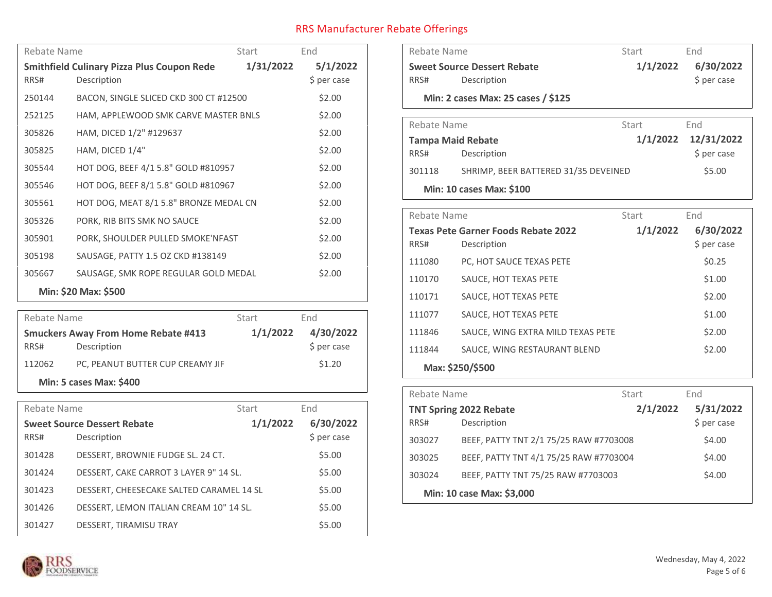| Rebate Name<br>Start                                           |                                        | End      |             |
|----------------------------------------------------------------|----------------------------------------|----------|-------------|
| 1/31/2022<br><b>Smithfield Culinary Pizza Plus Coupon Rede</b> |                                        | 5/1/2022 |             |
| RRS#                                                           | Description                            |          | \$ per case |
| 250144                                                         | BACON, SINGLE SLICED CKD 300 CT #12500 |          | \$2.00      |
| 252125                                                         | HAM, APPLEWOOD SMK CARVE MASTER BNLS   |          | \$2.00      |
| 305826                                                         | HAM, DICED 1/2" #129637                |          | \$2.00      |
| 305825                                                         | HAM, DICED 1/4"                        |          | \$2.00      |
| 305544                                                         | HOT DOG, BEEF 4/1 5.8" GOLD #810957    |          | \$2.00      |
| 305546                                                         | HOT DOG, BEEF 8/1 5.8" GOLD #810967    |          | \$2.00      |
| 305561                                                         | HOT DOG, MEAT 8/1 5.8" BRONZE MEDAL CN |          | \$2.00      |
| 305326                                                         | PORK, RIB BITS SMK NO SAUCE            |          | \$2.00      |
| 305901                                                         | PORK, SHOULDER PULLED SMOKE'NFAST      |          | \$2.00      |
| 305198                                                         | SAUSAGE, PATTY 1.5 OZ CKD #138149      |          | \$2.00      |
| 305667                                                         | SAUSAGE, SMK ROPE REGULAR GOLD MEDAL   |          | \$2.00      |
| Min: \$20 Max: \$500                                           |                                        |          |             |

| Rebate Name                                |                                  | Start    | End         |
|--------------------------------------------|----------------------------------|----------|-------------|
| <b>Smuckers Away From Home Rebate #413</b> |                                  | 1/1/2022 | 4/30/2022   |
| RRS#                                       | Description                      |          | \$ per case |
| 112062                                     | PC, PEANUT BUTTER CUP CREAMY JIF |          | \$1.20      |
| <b>Min: 5 cases Max: \$400</b>             |                                  |          |             |

| Rebate Name |                                          | Start    | End         |
|-------------|------------------------------------------|----------|-------------|
|             | <b>Sweet Source Dessert Rebate</b>       | 1/1/2022 | 6/30/2022   |
| RRS#        | Description                              |          | \$ per case |
| 301428      | DESSERT, BROWNIE FUDGE SL. 24 CT.        |          | \$5.00      |
| 301424      | DESSERT, CAKE CARROT 3 LAYER 9" 14 SL.   |          | \$5.00      |
| 301423      | DESSERT, CHEESECAKE SALTED CARAMEL 14 SL |          | \$5.00      |
| 301426      | DESSERT, LEMON ITALIAN CREAM 10" 14 SL.  |          | \$5.00      |
| 301427      | DESSERT, TIRAMISU TRAY                   |          | \$5.00      |

| Rebate Name                        |                                            | Start    | End                    |
|------------------------------------|--------------------------------------------|----------|------------------------|
| <b>Sweet Source Dessert Rebate</b> |                                            | 1/1/2022 | 6/30/2022              |
| RRS#                               | Description                                |          | \$ per case            |
|                                    | Min: 2 cases Max: 25 cases / \$125         |          |                        |
| Rebate Name                        |                                            | Start    | End                    |
|                                    | <b>Tampa Maid Rebate</b>                   |          | 1/1/2022<br>12/31/2022 |
| RRS#                               | Description                                |          | \$ per case            |
| 301118                             | SHRIMP, BEER BATTERED 31/35 DEVEINED       |          | \$5.00                 |
|                                    | Min: 10 cases Max: \$100                   |          |                        |
| Rebate Name                        |                                            | Start    | End                    |
|                                    | <b>Texas Pete Garner Foods Rebate 2022</b> | 1/1/2022 | 6/30/2022              |
|                                    |                                            |          | \$ per case            |
| RRS#                               | Description                                |          |                        |
| 111080                             | PC, HOT SAUCE TEXAS PETE                   |          | \$0.25                 |
| 110170                             | SAUCE, HOT TEXAS PETE                      |          | \$1.00                 |
| 110171                             | SAUCE, HOT TEXAS PETE                      |          | \$2.00                 |
| 111077                             | SAUCE, HOT TEXAS PETE                      |          | \$1.00                 |
| 111846                             | SAUCE, WING EXTRA MILD TEXAS PETE          |          | \$2.00                 |
| 111844                             | SAUCE, WING RESTAURANT BLEND               |          | \$2.00                 |
|                                    | Max: \$250/\$500                           |          |                        |

| Rebate Name                   |                                        | Start    | End         |
|-------------------------------|----------------------------------------|----------|-------------|
| <b>TNT Spring 2022 Rebate</b> |                                        | 2/1/2022 | 5/31/2022   |
| RRS#                          | Description                            |          | \$ per case |
| 303027                        | BEEF, PATTY TNT 2/1 75/25 RAW #7703008 |          | \$4.00      |
| 303025                        | BEEF, PATTY TNT 4/1 75/25 RAW #7703004 |          | \$4.00      |
| 303024                        | BEEF, PATTY TNT 75/25 RAW #7703003     |          | \$4.00      |
| Min: 10 case Max: \$3,000     |                                        |          |             |